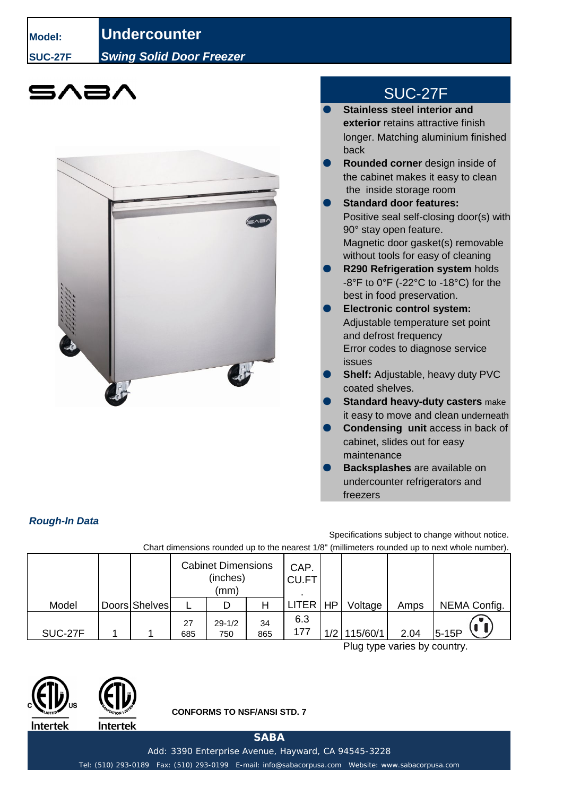**Model: Undercounter SUC-27F** *Swing Solid Door Freezer*





## SUC-27F

- **Stainless steel interior and exterior** retains attractive finish longer. Matching aluminium finished back
- **Rounded corner** design inside of the cabinet makes it easy to clean the inside storage room
- **Standard door features:** Positive seal self-closing door(s) with 90° stay open feature. Magnetic door gasket(s) removable without tools for easy of cleaning
- **R290 Refrigeration system holds** -8°F to 0°F (-22°C to -18°C) for the best in food preservation.
- **Electronic control system:** Adjustable temperature set point and defrost frequency Error codes to diagnose service issues
- **Shelf:** Adjustable, heavy duty PVC coated shelves.
- **Standard heavy-duty casters** make **Standard heavy-duty casters**it easy to move and clean underneath
- **Condensing unit access in back of** cabinet, slides out for easy maintenance
- **Backsplashes** are available on undercounter refrigerators and freezers

## *Rough-In Data*

Chart dimensions rounded up to the nearest 1/8" (millimeters rounded up to next whole number). Specifications subject to change without notice.

|                                         |  |               | <b>Cabinet Dimensions</b><br>(inches)<br>(mm) |                   |           | CAP.<br><b>CU.FT</b> |     |          |      |              |
|-----------------------------------------|--|---------------|-----------------------------------------------|-------------------|-----------|----------------------|-----|----------|------|--------------|
| Model                                   |  | Doors Shelves |                                               |                   |           | LITER   HP           |     | Voltage  | Amps | NEMA Config. |
| SUC-27F                                 |  |               | 27<br>685                                     | $29 - 1/2$<br>750 | 34<br>865 | 6.3<br>177           | 1/2 | 115/60/1 | 2.04 | $5-15P$      |
| $\mathsf{D}$ lug tung yariga bu gauntur |  |               |                                               |                   |           |                      |     |          |      |              |

Plug type varies by country.





**CONFORMS TO NSF/ANSI STD. 7**

**SABA**

Add: 3390 Enterprise Avenue, Hayward, CA 94545-3228

Tel: (510) 293-0189 Fax: (510) 293-0199 E-mail: info@sabacorpusa.com Website: www.sabacorpusa.com